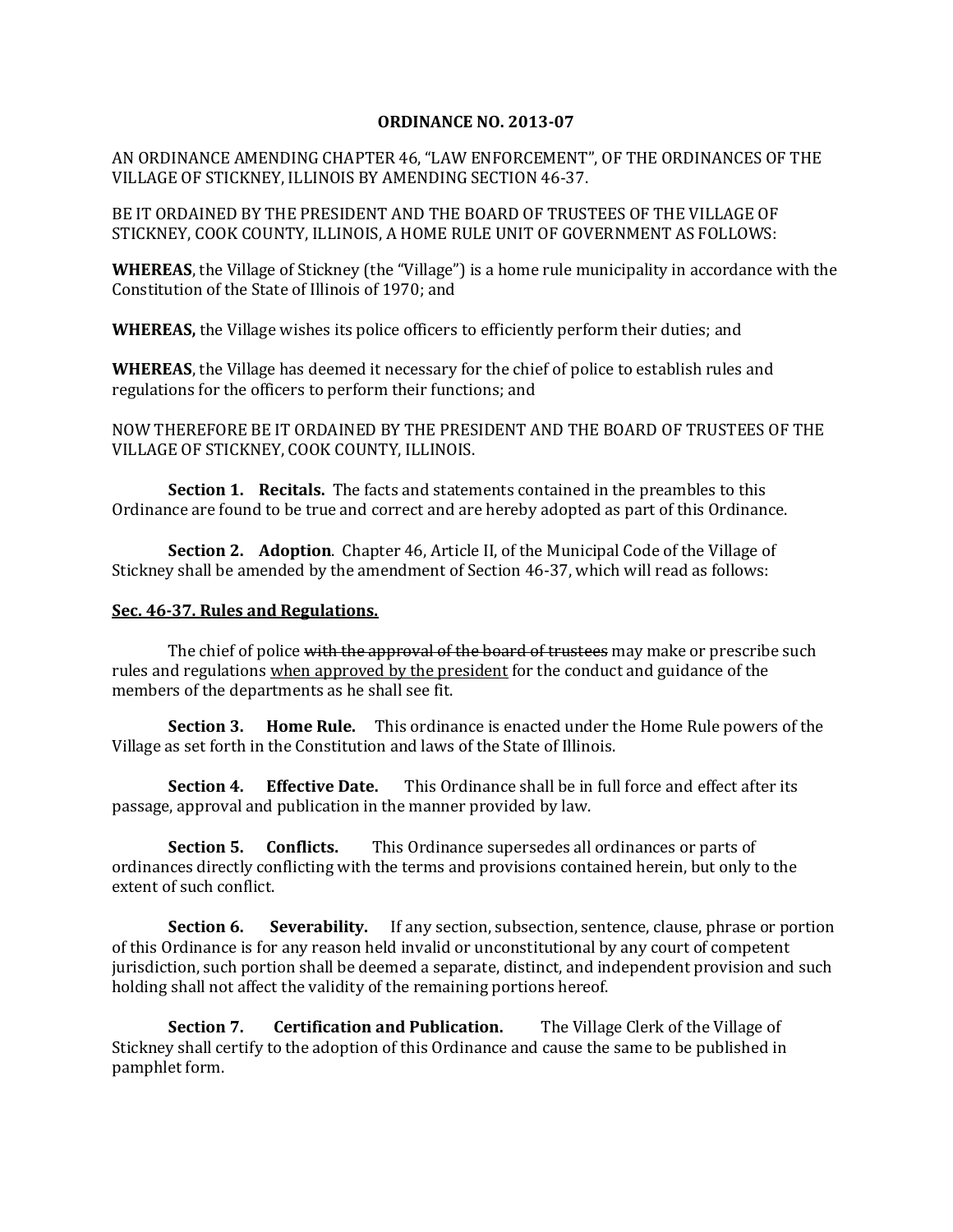## **ORDINANCE NO. 2013-07**

AN ORDINANCE AMENDING CHAPTER 46, "LAW ENFORCEMENT", OF THE ORDINANCES OF THE VILLAGE OF STICKNEY, ILLINOIS BY AMENDING SECTION 46-37.

BE IT ORDAINED BY THE PRESIDENT AND THE BOARD OF TRUSTEES OF THE VILLAGE OF STICKNEY, COOK COUNTY, ILLINOIS, A HOME RULE UNIT OF GOVERNMENT AS FOLLOWS:

**WHEREAS**, the Village of Stickney (the "Village") is a home rule municipality in accordance with the Constitution of the State of Illinois of 1970; and

**WHEREAS,** the Village wishes its police officers to efficiently perform their duties; and

**WHEREAS**, the Village has deemed it necessary for the chief of police to establish rules and regulations for the officers to perform their functions; and

NOW THEREFORE BE IT ORDAINED BY THE PRESIDENT AND THE BOARD OF TRUSTEES OF THE VILLAGE OF STICKNEY, COOK COUNTY, ILLINOIS.

**Section 1. Recitals.** The facts and statements contained in the preambles to this Ordinance are found to be true and correct and are hereby adopted as part of this Ordinance.

**Section 2. Adoption**. Chapter 46, Article II, of the Municipal Code of the Village of Stickney shall be amended by the amendment of Section 46-37, which will read as follows:

## **Sec. 46-37. Rules and Regulations.**

The chief of police with the approval of the board of trustees may make or prescribe such rules and regulations when approved by the president for the conduct and guidance of the members of the departments as he shall see fit.

**Section 3. Home Rule.** This ordinance is enacted under the Home Rule powers of the Village as set forth in the Constitution and laws of the State of Illinois.

**Section 4. Effective Date.** This Ordinance shall be in full force and effect after its passage, approval and publication in the manner provided by law.

**Section 5. Conflicts.** This Ordinance supersedes all ordinances or parts of ordinances directly conflicting with the terms and provisions contained herein, but only to the extent of such conflict.

**Section 6.** Severability. If any section, subsection, sentence, clause, phrase or portion of this Ordinance is for any reason held invalid or unconstitutional by any court of competent jurisdiction, such portion shall be deemed a separate, distinct, and independent provision and such holding shall not affect the validity of the remaining portions hereof.

**Section 7. Certification and Publication.** The Village Clerk of the Village of Stickney shall certify to the adoption of this Ordinance and cause the same to be published in pamphlet form.